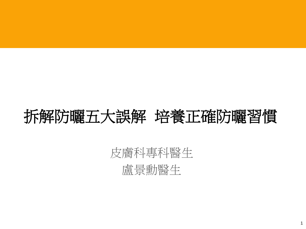### 拆解防曬五大誤解培養正確防曬習慣

### 皮膚科專科醫生

盧景勳醫生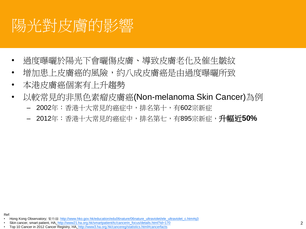## 陽光對皮膚的影響

- 過度曝曬於陽光下會曬傷皮膚、導致皮膚老化及催生皺紋
- 增加患上皮膚癌的風險,約八成皮膚癌是由過度曝曬所致
- 本港皮膚癌個案有上升趨勢
- 以較常見的非黑色素瘤皮膚癌(Non-melanoma Skin Cancer)為例
	- 2002年:香港十大常見的癌症中,排名第十,有602宗新症
	- 2012年:香港十大常見的癌症中,排名第七,有895宗新症,升幅近**50%**

Ref:

- Skin cancer, smart patient, HA, [http://www21.ha.org.hk/smartpatient/tc/cancerin\\_focus/details.html?id=170](http://www21.ha.org.hk/smartpatient/tc/cancerin_focus/details.html?id=170)
- Top 10 Cancer in 2012 Cancer Registry, HA, [http://www3.ha.org.hk/cancereg/statistics.html#cancerfacts](http://www3.ha.org.hk/cancereg/statistics.html)

<sup>•</sup> Hong Kong Observatory; 紫外線: [http://www.hko.gov.hk/education/edu06nature/06nature\\_ultraviolet/ele\\_ultraviolet\\_c.htm#q3](http://www.hko.gov.hk/education/edu06nature/06nature_ultraviolet/ele_ultraviolet_c.htm)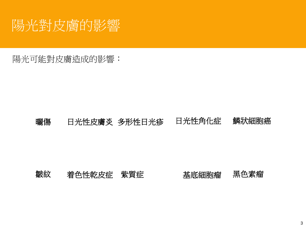

陽光可能對皮膚造成的影響:

#### 曬傷 日光性皮膚炎 多形性日光疹 日光性角化症 鱗狀細胞癌

#### 皺紋 着色性乾皮症 紫質症 基底細胞瘤 黑色素瘤

3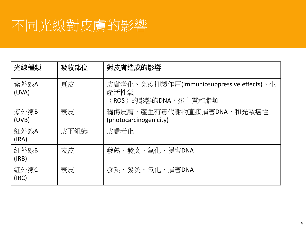### 不同光線對皮膚的影響

| 光線種類          | 吸收部位 | 對皮膚造成的影響                                                                 |
|---------------|------|--------------------------------------------------------------------------|
| 紫外線A<br>(UVA) | 真皮   | 皮膚老化、免疫抑製作用(immuniosuppressive effects)、生<br>產活性氧<br>(ROS)的影響的DNA,蛋白質和脂類 |
| 紫外線B<br>(UVB) | 表皮   | 曬傷皮膚、產生有毒代謝物直接損害DNA,和光致癌性<br>(photocarcinogenicity)                      |
| 紅外線A<br>(IRA) | 皮下組織 | 皮膚老化                                                                     |
| 紅外線B<br>(IRB) | 表皮   | 發熱、發炎、氧化、損害DNA                                                           |
| 紅外線C<br>(IRC) | 表皮   | 發熱、發炎、氧化、損害DNA                                                           |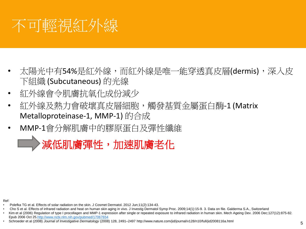

- 太陽光中有54%是紅外線,而紅外線是唯一能穿透真皮層(dermis),深入皮 下組織 (Subcutaneous) 的光線
- 紅外線會令肌膚抗氧化成份減少
- 紅外線及熱力會破壞真皮層細胞,觸發基質金屬蛋白酶-1 (Matrix Metalloproteinase-1, MMP-1) 的合成
- MMP-1會分解肌膚中的膠原蛋白及彈性纖維

减低肌膚彈性,加速肌膚老化

Ref:

- Polefka TG et al. Effects of solar radiation on the skin. J Cosmet Dermatol. 2012 Jun;11(2):134-43.
- Cho S et al. Effects of infrared radiation and heat on human skin aging in vivo. J Investig Dermatol Symp Proc. 2009;14(1):15-9. 3. Data on file. Galderma S.A., Switzerland
- Kim et al (2006) Regulation of type I procollagen and MMP-1 expression after single or repeated exposure to infrared radiation in human skin. Mech Ageing Dev. 2006 Dec;127(12):875-82. Epub 2006 Oct 25.<http://www.ncbi.nlm.nih.gov/pubmed/17067654>
- Schroeder et al (2008) *Journal of Investigative Dermatology* (2008) 128, 2491–2497 http://www.nature.com/jid/journal/v128/n10/full/jid2008116a.html 5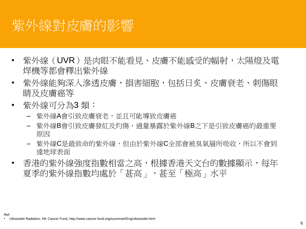### 紫外線對皮膚的影響

- 紫外線(UVR)是肉眼不能看見、皮膚不能感受的幅射,太陽燈及電 焊機等都會釋出紫外線
- 紫外線能夠深入滲透皮膚,損害細胞,包括日炙、皮膚衰老、刺傷眼 睛及皮膚癌等
- 紫外線可分為3 類:

Ref:

- 紫外線A會引致皮膚衰老,並且可能導致皮膚癌
- 紫外線B會引致皮膚發紅及灼傷,過量暴露於紫外線B之下是引致皮膚癌的最重要 原因
- 紫外線C是最致命的紫外線,但由於紫外線C全部會被臭氧層所吸收,所以不會到 達地球表面
- 香港的紫外線強度指數相當之高,根據香港天文台的數據顯示,每年 夏季的紫外線指數均處於「甚高」,甚至「極高」水平

• Ultraviolet Radiation, HK Cancer Fund, http://www.cancer-fund.org/sunsmart/Eng/ultraviolet.html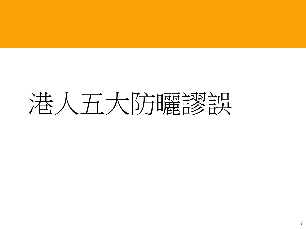# 港人五大防曬謬誤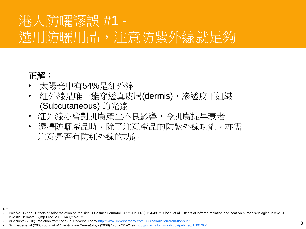### 港人防曬謬誤 #1 - 選用防曬用品,注意防紫外線就足夠

#### 正解:

- 太陽光中有54%是紅外線
- 紅外線是唯一能穿透真皮層(dermis),滲透皮下組織 (Subcutaneous) 的光線
- 紅外線亦會對肌膚產生不良影響,令肌膚提早衰老
- 選擇防曬產品時,除了注意產品的防紫外線功能,亦需 注意是否有防紅外線的功能

Ref:

Polefka TG et al. Effects of solar radiation on the skin. J Cosmet Dermatol. 2012 Jun;11(2):134-43. 2. Cho S et al. Effects of infrared radiation and heat on human skin aging in vivo. J Investig Dermatol Symp Proc. 2009;14(1):15-9. 3.

<sup>•</sup> Villanueva (2010) Radiation from the Sun, Universe Today <http://www.universetoday.com/60065/radiation-from-the-sun/>

<sup>•</sup> Schroeder et al (2008) *Journal of Investigative Dermatology* (2008) 128, 2491–2497 <http://www.ncbi.nlm.nih.gov/pubmed/17067654> <sup>8</sup>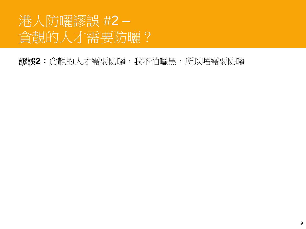### 港人防曬謬誤 #2 – 貪靚的人才需要防曬?

#### 謬誤**2**:貪靚的人才需要防曬,我不怕曬黑,所以唔需要防曬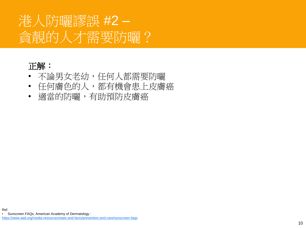### 港人防曬謬誤 #2 – 貪靚的人才需要防曬?

#### 正解:

- 不論男女老幼,任何人都需要防曬
- 任何膚色的人,都有機會患上皮膚癌
- 適當的防曬,有助預防皮膚癌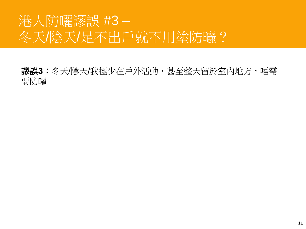### 港人防曬謬誤 #3 – 冬天/陰天/足不出戶就不用塗防曬?

謬誤**3**:冬天/陰天/我極少在戶外活動,甚至整天留於室內地方,唔需 要防曬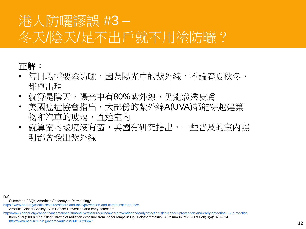### 港人防曬謬誤 #3 – 冬天/陰天/足不出戶就不用塗防曬?

#### 正解:

- 每日均需要塗防曬,因為陽光中的紫外線,不論春夏秋冬, 都會出現
- 就算是陰天,陽光中有80%紫外線,仍能滲透皮膚
- 美國癌症協會指出,大部份的紫外線A(UVA)都能穿越建築 物和汽車的玻璃,直達室內
- 就算室內環境沒有窗,美國有研究指出,一些普及的室內照 明都會發出紫外線

Ref.

• Sunscreen FAQs, American Academy of Dermatology :

- <https://www.aad.org/media-resources/stats-and-facts/prevention-and-care/sunscreen-faqs>
- America Cancer Society: Skin Cancer Prevention and early detection: <http://www.cancer.org/cancer/cancercauses/sunanduvexposure/skincancerpreventionandearlydetection/skin-cancer-prevention-and-early-detection-u-v-protection>

<sup>•</sup> Klein et al (2009) 'The risk of ultraviolet radiation exposure from indoor lamps in lupus erythematosus.' Autoimmun Rev. 2009 Feb; 8(4): 320–324. <http://www.ncbi.nlm.nih.gov/pmc/articles/PMC2829662/>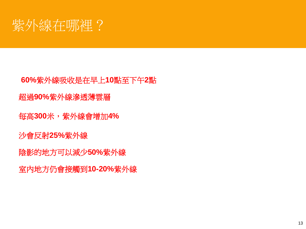

**60%**紫外線吸收是在早上**10**點至下午**2**點 超過**90%**紫外線滲透薄雲層

每高**300**米,紫外線會增加**4%**

沙會反射**25%**紫外線

陰影的地方可以減少**50%**紫外線

室內地方仍會接觸到**10-20%**紫外線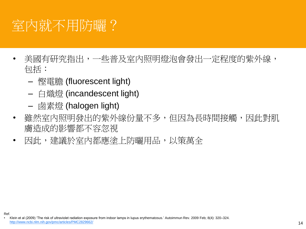### 室內就不用防曬?

- 美國有研究指出,一些普及室內照明燈泡會發出一定程度的紫外線, 包括:
	- 慳電膽 (fluorescent light)
	- 白熾燈 (incandescent light)
	- 鹵素燈 (halogen light)

Ref.

- 雖然室內照明發出的紫外線份量不多,但因為長時間接觸,因此對肌 膚造成的影響都不容忽視
- 因此,建議於室內都應塗上防曬用品,以策萬全

<sup>•</sup> Klein et al (2009) 'The risk of ultraviolet radiation exposure from indoor lamps in lupus erythematosus.' Autoimmun Rev. 2009 Feb; 8(4): 320–324. <http://www.ncbi.nlm.nih.gov/pmc/articles/PMC2829662/> 14 and the state of the state of the state of the state of the state of the state of the state of the state of the state of the state of the state of the state of the st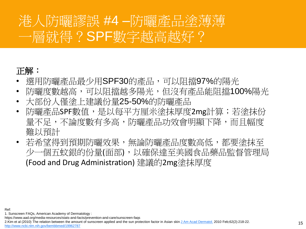### 港人防曬謬誤 #4 – 一層就得?SPF數字越高越好?

### 正解:

- 選用防曬產品最少用SPF30的產品,可以阻擋97%的陽光
- 防曬度數越高,可以阻擋越多陽光,但沒有產品能阻擋100%陽光
- 大部份人僅塗上建議份量25-50%的防曬產品
- 防曬產品SPF數值,是以每平方厘米塗抹厚度2mg計算;若塗抹份 量不足,不論度數有多高,防曬產品功效會明顯下降,而且幅度 難以預計
- 若希望得到預期防曬效果,無論防曬產品度數高低,都要塗抹至 少一個五蚊銀的份量(面部),以確保達至美國食品藥品監督管理局 (Food and Drug Administration) 建議的2mg塗抹厚度

Ref:

1. Sunscreen FAQs, American Academy of Dermatology : https://www.aad.org/media-resources/stats-and-facts/prevention-and-care/sunscreen-faqs

2.Kim et al (2010) The relation between the amount of sunscreen applied and the sun protection factor in Asian skin [J Am Acad](http://www.ncbi.nlm.nih.gov/pubmed/19962787) [Dermatol.](http://www.ncbi.nlm.nih.gov/pubmed/19962787) 2010 Feb;62(2):218-22. [http://www.ncbi.nlm.nih.gov/bembbmed/19962787](http://www.ncbi.nlm.nih.gov/pubmed/19962787)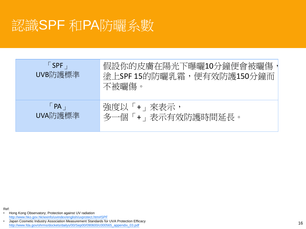### 認識SPF 和PA防曬系數

| $\overline{\phantom{a}}$ SPF<br>UVB防護標準 | 假設你的皮膚在陽光下曝曬10分鐘便會被曬傷<br>塗上SPF 15的防曬乳霜,便有效防護150分鐘而<br>不被曬傷。 |
|-----------------------------------------|-------------------------------------------------------------|
| $\overline{\mathsf{PA}}$<br>UVA防護標準     | 強度以「+」來表示,<br>+ , 表示有效防護時間延長。<br>多一個                        |

• Hong Kong Observatory; Protection against UV radiation [http://www.hko.gov.hk/wxinfo/uvindex/english/uvprotect.htm#SPF](http://www.hko.gov.hk/wxinfo/uvindex/english/uvprotect.htm) • Japan Cosmetic Industry Association Measurement Standards for UVA Protection Efficacy

Ref:

Japan Cosmetic Industry Association Measurement Standards for UVA Protection Efficacy<br>[http://www.fda.gov/ohrms/dockets/dailys/00/Sep00/090600/c000565\\_appendix\\_03.pdf](http://www.fda.gov/ohrms/dockets/dailys/00/Sep00/090600/c000565_appendix_03.pdf) 16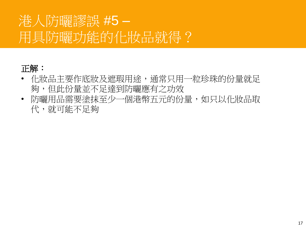### 港人防曬謬誤 #5 – 用具防曬功能的化妝品就得?

### 正解:

- 化妝品主要作底妝及遮瑕用途,通常只用一粒珍珠的份量就足 夠,但此份量並不足達到防曬應有之功效
- 防曬用品需要塗抹至少一個港幣五元的份量,如只以化妝品取 代,就可能不足夠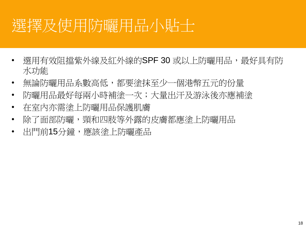# 選擇及使用防曬用品小貼士

- 選用有效阻擋紫外線及紅外線的SPF 30 或以上防曬用品,最好具有防 水功能
- 無論防曬用品系數高低,都要塗抹至少一個港幣五元的份量
- 防曬用品最好每兩小時補塗一次;大量出汗及游泳後亦應補塗
- 在室內亦需塗上防曬用品保護肌膚
- 除了面部防曬,頸和四肢等外露的皮膚都應塗上防曬用品
- 出門前15分鐘,應該塗上防曬產品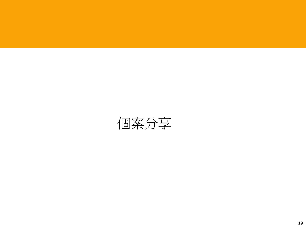